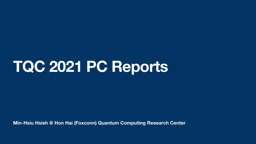**Min-Hsiu Hsieh @ Hon Hai (Foxconn) Quantum Computing Research Center**

# **TQC 2021 PC Reports**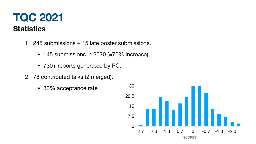## **TQC 2021 Statistics**

- 1. 245 submissions + 15 late poster submissions.
	- 145 submissions in 2020 (≈70% increase)
	- 730+ reports generated by PC.
- 2. 78 contributed talks (2 merged).
	- 33% acceptance rate

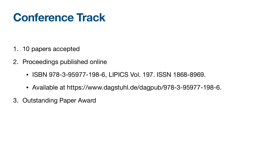## **Conference Track**

- 1. 10 papers accepted
- 2. Proceedings published online
	- ISBN 978-3-95977-198-6, LIPICS Vol. 197. ISSN 1868-8969.
	-
- 3. Outstanding Paper Award

• Available at https://www.dagstuhl.de/dagpub/978-3-95977-198-6.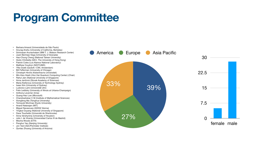## **Program Committee**

- Barbara Amaral (Universidade de São Paulo)
- Anurag Anshu (University of California, Berkeley)
- Srinivasan Arunachalam (IBM T. J. Watson Research Center)
- Juani Bermejo-Vega (University of Granada)
- Hao-Chung Cheng (National Taiwan University)
- Giulio Chiribella (QICI, The University of Hong Kong)
- Patrick Coles (Los Alamos National Laboratory)
- Matthew Coudron (NIST/UMD)
- Yfke Dulek (QuSoft / CWI, Amsterdam)
- Bill Fefferman (University of Chicago)
- Christoph Hirche (Københavns Universitet)
- Min-Hsiu Hsieh (Hon Hai Quantum Computing Center) (Chair)
- Rahul Jain (National University of Singapore)
- Anna Jenčová (Slovak Academy of Sciences)
- Maria Kieferova (University of Technology Sydney)
- Isaac Kim (University of Sydney)
- Ludovico Lami (Universität Ulm)
- Felix Leditzky (University of Illinois at Urbana-Champaign)
- Anthony Leverrier (Inria)
- Guang-Hao Low (Microsoft)
- Chandrashekar C M (Institute of Mathematical Sciences)
- Xiongfeng Ma (Tsinghua University)
- Tomoyuki Morimae (Kyoto University)
- Anand Natarajan (MIT)
- Miguel Navascues (IQOQI Vienna)
- Yingkai Ouyang (National University of Singapore)
- Dave Touchette (Université de Sherbrooke)
- Anna Vershynina (University of Houston)
- Julio I. de Vicente (Universidad Carlos III de Madrid)
- Mischa Woods (ETH)
- Penghui Yao (Nanjing University)
- Jon Yard (IQC/Perimeter Institute)
- Quntao Zhuang (University of Arizona)

### 33%

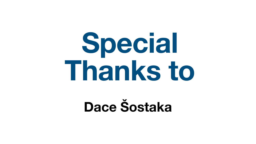

# **Special Thanks to**

# **Dace Šostaka**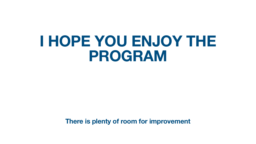### **There is plenty of room for improvement**

## **I HOPE YOU ENJOY THE PROGRAM**